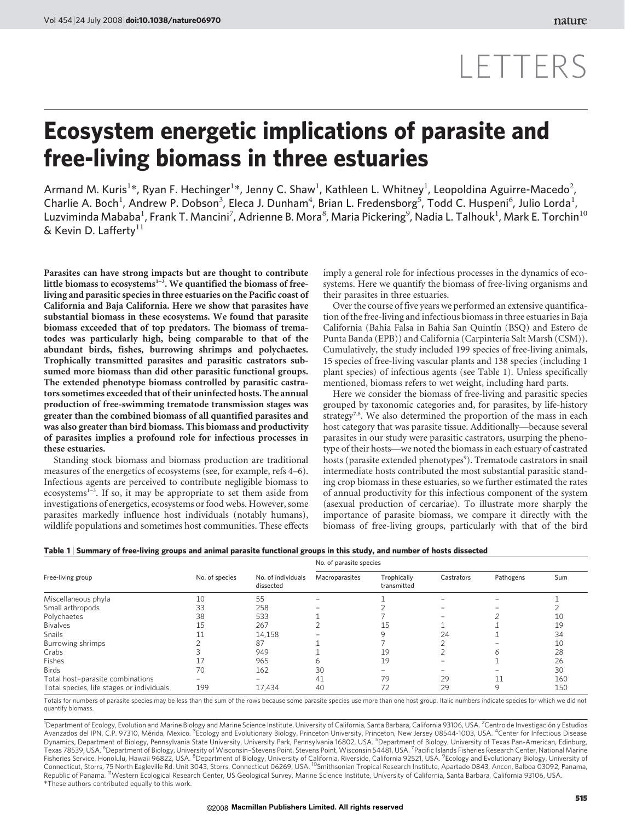## LETTERS

## Ecosystem energetic implications of parasite and free-living biomass in three estuaries

Armand M. Kuris<sup>1\*</sup>, Ryan F. Hechinger<sup>1\*</sup>, Jenny C. Shaw<sup>1</sup>, Kathleen L. Whitney<sup>1</sup>, Leopoldina Aguirre-Macedo<sup>2</sup>, Charlie A. Boch<sup>1</sup>, Andrew P. Dobson<sup>3</sup>, Eleca J. Dunham<sup>4</sup>, Brian L. Fredensborg<sup>5</sup>, Todd C. Huspeni<sup>6</sup>, Julio Lorda<sup>1</sup>, Luzviminda Mababa $^1$ , Frank T. Mancini $^7$ , Adrienne B. Mora $^8$ , Maria Pickering $^9$ , Nadia L. Talhouk $^1$ , Mark E. Torchin $^{10}$ & Kevin D. Lafferty $^{11}$ 

Parasites can have strong impacts but are thought to contribute little biomass to ecosystems $1-3$ . We quantified the biomass of freeliving and parasitic species in three estuaries on the Pacific coast of California and Baja California. Here we show that parasites have substantial biomass in these ecosystems. We found that parasite biomass exceeded that of top predators. The biomass of trematodes was particularly high, being comparable to that of the abundant birds, fishes, burrowing shrimps and polychaetes. Trophically transmitted parasites and parasitic castrators subsumed more biomass than did other parasitic functional groups. The extended phenotype biomass controlled by parasitic castrators sometimes exceeded that of their uninfected hosts. The annual production of free-swimming trematode transmission stages was greater than the combined biomass of all quantified parasites and was also greater than bird biomass. This biomass and productivity of parasites implies a profound role for infectious processes in these estuaries.

Standing stock biomass and biomass production are traditional measures of the energetics of ecosystems (see, for example, refs 4–6). Infectious agents are perceived to contribute negligible biomass to ecosystems<sup>1-3</sup>. If so, it may be appropriate to set them aside from investigations of energetics, ecosystems or food webs. However, some parasites markedly influence host individuals (notably humans), wildlife populations and sometimes host communities. These effects imply a general role for infectious processes in the dynamics of ecosystems. Here we quantify the biomass of free-living organisms and their parasites in three estuaries.

Over the course of five years we performed an extensive quantification of the free-living and infectious biomass in three estuaries in Baja California (Bahia Falsa in Bahia San Quintín (BSQ) and Estero de Punta Banda (EPB)) and California (Carpinteria Salt Marsh (CSM)). Cumulatively, the study included 199 species of free-living animals, 15 species of free-living vascular plants and 138 species (including 1 plant species) of infectious agents (see Table 1). Unless specifically mentioned, biomass refers to wet weight, including hard parts.

Here we consider the biomass of free-living and parasitic species grouped by taxonomic categories and, for parasites, by life-history strategy<sup>7,8</sup>. We also determined the proportion of the mass in each host category that was parasite tissue. Additionally—because several parasites in our study were parasitic castrators, usurping the phenotype of their hosts—we noted the biomass in each estuary of castrated hosts (parasite extended phenotypes<sup>9</sup>). Trematode castrators in snail intermediate hosts contributed the most substantial parasitic standing crop biomass in these estuaries, so we further estimated the rates of annual productivity for this infectious component of the system (asexual production of cercariae). To illustrate more sharply the importance of parasite biomass, we compare it directly with the biomass of free-living groups, particularly with that of the bird

|  |  |  |  | Table 1 Summary of free-living groups and animal parasite functional groups in this study, and number of hosts dissected |
|--|--|--|--|--------------------------------------------------------------------------------------------------------------------------|
|--|--|--|--|--------------------------------------------------------------------------------------------------------------------------|

|                                                  |                | No. of individuals<br>dissected | No. of parasite species |                            |            |           |     |
|--------------------------------------------------|----------------|---------------------------------|-------------------------|----------------------------|------------|-----------|-----|
| Free-living group                                | No. of species |                                 | Macroparasites          | Trophically<br>transmitted | Castrators | Pathogens | Sum |
| Miscellaneous phyla                              | 10             | 55                              |                         |                            |            |           |     |
| Small arthropods                                 | 33             | 258                             |                         |                            |            |           |     |
| Polychaetes                                      | 38             | 533                             |                         |                            |            |           | 10  |
| <b>Bivalves</b>                                  | 15             | 267                             |                         | 15                         |            |           | 19  |
| Snails                                           |                | 14,158                          |                         |                            | 24         |           | 34  |
| Burrowing shrimps                                |                | 87                              |                         |                            |            |           | 10  |
| Crabs                                            |                | 949                             |                         | 19                         |            | ь         | 28  |
| Fishes                                           |                | 965                             |                         | 19                         |            |           | 26  |
| <b>Birds</b>                                     | 70             | 162                             | 30                      |                            |            |           | 30  |
| Total host-parasite combinations                 |                |                                 | 41                      | 79                         | 29         | 11        | 160 |
| Total species, life stages or individuals<br>199 |                | 17.434                          | 40                      | 72                         | 29         | 9         | 150 |

Totals for numbers of parasite species may be less than the sum of the rows because some parasite species use more than one host group. Italic numbers indicate species for which we did not quantify biomass.

*\**These authors contributed equally to this work. <sup>1</sup>Department of Ecology, Evolution and Marine Biology and Marine Science Institute, University of California, Santa Barbara, California 93106, USA. <sup>2</sup>Centro de Investigación y Estudios Avanzados del IPN, C.P. 97310, Mérida, Mexico. <sup>3</sup>Ecology and Evolutionary Biology, Princeton University, Princeton, New Jersey 08544-1003, USA. <sup>4</sup>Center for Infectious Disease Dynamics, Department of Biology, Pennsylvania State University, University Park, Pennsylvania 16802, USA. <sup>5</sup>Department of Biology, University of Texas Pan-American, Edinburg, Texas 78539, USA. <sup>6</sup>Department of Biology, University of Wisconsin–Stevens Point, Stevens Point, Wisconsin 54481, USA. <sup>7</sup>Pacific Islands Fisheries Research Center, National Marine Fisheries Service, Honolulu, Hawaii 96822, USA. <sup>8</sup>Department of Biology, University of California, Riverside, California 92521, USA. <sup>9</sup>Ecology and Evolutionary Biology, University of Connecticut, Storrs, 75 North Eagleville Rd. Unit 3043, Storrs, Connecticut 06269, USA. <sup>10</sup>Smithsonian Tropical Research Institute, Apartado 0843, Ancon, Balboa 03092, Panama,<br>Republic of Panama. <sup>11</sup>Western Ecological Re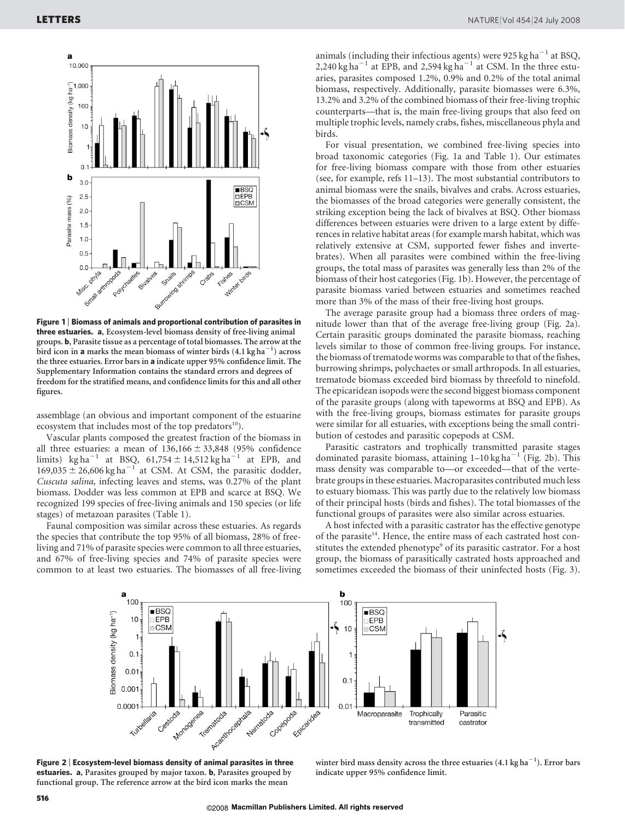

Figure 1 <sup>|</sup> Biomass of animals and proportional contribution of parasites in three estuaries. a, Ecosystem-level biomass density of free-living animal groups. b, Parasite tissue as a percentage of total biomasses. The arrow at the bird icon in a marks the mean biomass of winter birds  $(4.1 \text{ kg ha}^{-1})$  across the three estuaries. Error bars in a indicate upper 95% confidence limit. The Supplementary Information contains the standard errors and degrees of freedom for the stratified means, and confidence limits for this and all other figures.

assemblage (an obvious and important component of the estuarine ecosystem that includes most of the top predators $^{10}$ ).

Vascular plants composed the greatest fraction of the biomass in all three estuaries: a mean of  $136,166 \pm 33,848$  (95% confidence limits) kg ha<sup>-1</sup> at BSQ,  $61,754 \pm 14,512$  kg ha<sup>-1</sup> at EPB, and  $169,035 \pm 26,606$  kg ha<sup>-1</sup> at CSM. At CSM, the parasitic dodder, Cuscuta salina, infecting leaves and stems, was 0.27% of the plant biomass. Dodder was less common at EPB and scarce at BSQ. We recognized 199 species of free-living animals and 150 species (or life stages) of metazoan parasites (Table 1).

Faunal composition was similar across these estuaries. As regards the species that contribute the top 95% of all biomass, 28% of freeliving and 71% of parasite species were common to all three estuaries, and 67% of free-living species and 74% of parasite species were common to at least two estuaries. The biomasses of all free-living animals (including their infectious agents) were  $925 \text{ kg ha}^{-1}$  at BSQ, 2,240 kg ha<sup> $-1$ </sup> at EPB, and 2,594 kg ha<sup> $-1$ </sup> at CSM. In the three estuaries, parasites composed 1.2%, 0.9% and 0.2% of the total animal biomass, respectively. Additionally, parasite biomasses were 6.3%, 13.2% and 3.2% of the combined biomass of their free-living trophic counterparts—that is, the main free-living groups that also feed on multiple trophic levels, namely crabs, fishes, miscellaneous phyla and birds.

For visual presentation, we combined free-living species into broad taxonomic categories (Fig. 1a and Table 1). Our estimates for free-living biomass compare with those from other estuaries (see, for example, refs 11–13). The most substantial contributors to animal biomass were the snails, bivalves and crabs. Across estuaries, the biomasses of the broad categories were generally consistent, the striking exception being the lack of bivalves at BSQ. Other biomass differences between estuaries were driven to a large extent by differences in relative habitat areas (for example marsh habitat, which was relatively extensive at CSM, supported fewer fishes and invertebrates). When all parasites were combined within the free-living groups, the total mass of parasites was generally less than 2% of the biomass of their host categories (Fig. 1b). However, the percentage of parasite biomass varied between estuaries and sometimes reached more than 3% of the mass of their free-living host groups.

The average parasite group had a biomass three orders of magnitude lower than that of the average free-living group (Fig. 2a). Certain parasitic groups dominated the parasite biomass, reaching levels similar to those of common free-living groups. For instance, the biomass of trematode worms was comparable to that of the fishes, burrowing shrimps, polychaetes or small arthropods. In all estuaries, trematode biomass exceeded bird biomass by threefold to ninefold. The epicaridean isopods were the second biggest biomass component of the parasite groups (along with tapeworms at BSQ and EPB). As with the free-living groups, biomass estimates for parasite groups were similar for all estuaries, with exceptions being the small contribution of cestodes and parasitic copepods at CSM.

Parasitic castrators and trophically transmitted parasite stages dominated parasite biomass, attaining  $1-10$  kg ha<sup> $-1$ </sup> (Fig. 2b). This mass density was comparable to—or exceeded—that of the vertebrate groups in these estuaries. Macroparasites contributed much less to estuary biomass. This was partly due to the relatively low biomass of their principal hosts (birds and fishes). The total biomasses of the functional groups of parasites were also similar across estuaries.

A host infected with a parasitic castrator has the effective genotype of the parasite<sup>14</sup>. Hence, the entire mass of each castrated host constitutes the extended phenotype<sup>9</sup> of its parasitic castrator. For a host group, the biomass of parasitically castrated hosts approached and sometimes exceeded the biomass of their uninfected hosts (Fig. 3).



Figure 2 <sup>|</sup> Ecosystem-level biomass density of animal parasites in three estuaries. a, Parasites grouped by major taxon. b, Parasites grouped by functional group. The reference arrow at the bird icon marks the mean

winter bird mass density across the three estuaries  $(4.1 \text{ kg ha}^{-1})$ . Error bars indicate upper 95% confidence limit.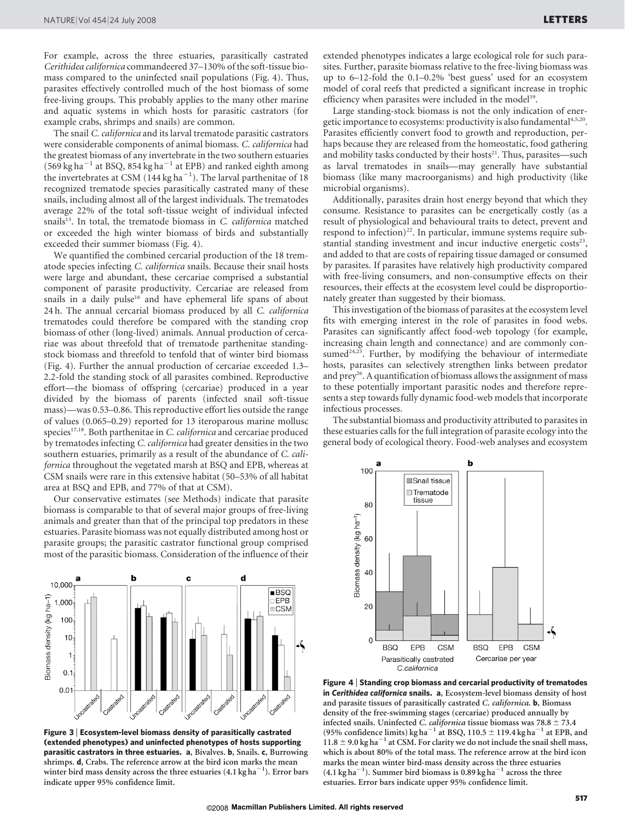For example, across the three estuaries, parasitically castrated Cerithidea californica commandeered 37–130% of the soft-tissue biomass compared to the uninfected snail populations (Fig. 4). Thus, parasites effectively controlled much of the host biomass of some free-living groups. This probably applies to the many other marine and aquatic systems in which hosts for parasitic castrators (for example crabs, shrimps and snails) are common.

The snail C. californica and its larval trematode parasitic castrators were considerable components of animal biomass. C. californica had the greatest biomass of any invertebrate in the two southern estuaries  $(569 \text{ kg ha}^{-1})$  at BSQ, 854 kg ha<sup>-1</sup> at EPB) and ranked eighth among the invertebrates at CSM  $(144 \text{ kg ha}^{-1})$ . The larval parthenitae of 18 recognized trematode species parasitically castrated many of these snails, including almost all of the largest individuals. The trematodes average 22% of the total soft-tissue weight of individual infected snails $^{15}$ . In total, the trematode biomass in C. *californica* matched or exceeded the high winter biomass of birds and substantially exceeded their summer biomass (Fig. 4).

We quantified the combined cercarial production of the 18 trematode species infecting C. californica snails. Because their snail hosts were large and abundant, these cercariae comprised a substantial component of parasite productivity. Cercariae are released from snails in a daily pulse<sup>16</sup> and have ephemeral life spans of about 24 h. The annual cercarial biomass produced by all C. californica trematodes could therefore be compared with the standing crop biomass of other (long-lived) animals. Annual production of cercariae was about threefold that of trematode parthenitae standingstock biomass and threefold to tenfold that of winter bird biomass (Fig. 4). Further the annual production of cercariae exceeded 1.3– 2.2-fold the standing stock of all parasites combined. Reproductive effort—the biomass of offspring (cercariae) produced in a year divided by the biomass of parents (infected snail soft-tissue mass)—was 0.53–0.86. This reproductive effort lies outside the range of values (0.065–0.29) reported for 13 iteroparous marine mollusc species $17,18$ . Both parthenitae in C. californica and cercariae produced by trematodes infecting C. californica had greater densities in the two southern estuaries, primarily as a result of the abundance of C. californica throughout the vegetated marsh at BSQ and EPB, whereas at CSM snails were rare in this extensive habitat (50–53% of all habitat area at BSQ and EPB, and 77% of that at CSM).

Our conservative estimates (see Methods) indicate that parasite biomass is comparable to that of several major groups of free-living animals and greater than that of the principal top predators in these estuaries. Parasite biomass was not equally distributed among host or parasite groups; the parasitic castrator functional group comprised most of the parasitic biomass. Consideration of the influence of their



Figure 3 <sup>|</sup> Ecosystem-level biomass density of parasitically castrated (extended phenotypes) and uninfected phenotypes of hosts supporting parasitic castrators in three estuaries. a, Bivalves. b, Snails. c, Burrowing shrimps. d, Crabs. The reference arrow at the bird icon marks the mean winter bird mass density across the three estuaries  $(4.1\,\mathrm{kg\,ha}^{-1})$ . Error bars indicate upper 95% confidence limit.

extended phenotypes indicates a large ecological role for such parasites. Further, parasite biomass relative to the free-living biomass was up to 6–12-fold the 0.1–0.2% 'best guess' used for an ecosystem model of coral reefs that predicted a significant increase in trophic efficiency when parasites were included in the model<sup>19</sup>.

Large standing-stock biomass is not the only indication of energetic importance to ecosystems: productivity is also fundamental<sup>4,5,20</sup>. Parasites efficiently convert food to growth and reproduction, perhaps because they are released from the homeostatic, food gathering and mobility tasks conducted by their hosts<sup>21</sup>. Thus, parasites—such as larval trematodes in snails—may generally have substantial biomass (like many macroorganisms) and high productivity (like microbial organisms).

Additionally, parasites drain host energy beyond that which they consume. Resistance to parasites can be energetically costly (as a result of physiological and behavioural traits to detect, prevent and respond to infection)<sup>22</sup>. In particular, immune systems require substantial standing investment and incur inductive energetic  $costs<sup>23</sup>$ , and added to that are costs of repairing tissue damaged or consumed by parasites. If parasites have relatively high productivity compared with free-living consumers, and non-consumptive effects on their resources, their effects at the ecosystem level could be disproportionately greater than suggested by their biomass.

This investigation of the biomass of parasites at the ecosystem level fits with emerging interest in the role of parasites in food webs. Parasites can significantly affect food-web topology (for example, increasing chain length and connectance) and are commonly consumed $24,25$ . Further, by modifying the behaviour of intermediate hosts, parasites can selectively strengthen links between predator and prey<sup>26</sup>. A quantification of biomass allows the assignment of mass to these potentially important parasitic nodes and therefore represents a step towards fully dynamic food-web models that incorporate infectious processes.

The substantial biomass and productivity attributed to parasites in these estuaries calls for the full integration of parasite ecology into the general body of ecological theory. Food-web analyses and ecosystem



Figure 4 <sup>|</sup> Standing crop biomass and cercarial productivity of trematodes in Cerithidea californica snails. a, Ecosystem-level biomass density of host and parasite tissues of parasitically castrated C. californica. b, Biomass density of the free-swimming stages (cercariae) produced annually by infected snails. Uninfected C. californica tissue biomass was  $78.8 \pm 73.4$ (95% confidence limits) kg ha<sup>-1</sup> at BSQ, 110.5  $\pm$  119.4 kg ha<sup>-1</sup> at EPB, and  $11.8 \pm 9.0$  kg ha $^{-1}$  at CSM. For clarity we do not include the snail shell mass, which is about 80% of the total mass. The reference arrow at the bird icon marks the mean winter bird-mass density across the three estuaries  $(4.1 \text{ kg ha}^{-1})$ . Summer bird biomass is 0.89 kg ha<sup>-1</sup> across the three estuaries. Error bars indicate upper 95% confidence limit.